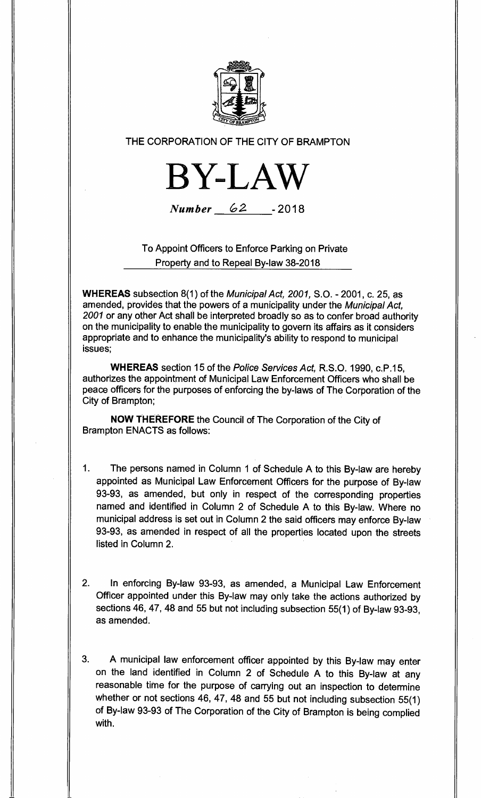

THE CORPORATION OF THE CITY OF BRAMPTON



Number 62 **- 2018** 

To Appoint Officers to Enforce Parking on Private Property and to Repeal By-law 38-2018

**WHEREAS** subsection 8(1) of the Municipal Act, 2001, S.O. - 2001, c. 25, as amended, provides that the powers of a municipality under the Municipal Act, 2001 or any other Act shall be interpreted broadly so as to confer broad authority on the municipality to enable the municipality to govern its affairs as it considers appropriate and to enhance the municipality's ability to respond to municipal issues;

**WHEREAS** section 15 of the Police Services Act, R.S.O. 1990, c.P.15, authorizes the appointment of Municipal Law Enforcement Officers who shall be peace officers for the purposes of enforcing the by-laws of The Corporation of the City of Brampton;

**NOW THEREFORE** the Council of The Corporation of the City of Brampton ENACTS as follows:

- 1. The persons named in Column 1 of Schedule A to this By-law are hereby appointed as Municipal Law Enforcement Officers for the purpose of By-law 93-93, as amended, but only in respect of the corresponding properties named and identified in Column 2 of Schedule A to this By-law. Where no municipal address is set out in Column 2 the said officers may enforce By-law 93-93, as amended in respect of all the properties located upon the streets listed in Column 2.
- 2. In enforcing By-law 93-93, as amended, a Municipal Law Enforcement Officer appointed under this By-law may only take the actions authorized by sections 46, 47, 48 and 55 but not including subsection 55(1) of By-law 93-93, as amended.

3. A municipal law enforcement officer appointed by this By-law may enter on the land identified in Column 2 of Schedule A to this By-law at any reasonable time for the purpose of carrying out an inspection to determine whether or not sections 46, 47, 48 and 55 but not including subsection 55(1) of By-law 93-93 of The Corporation of the City of Brampton is being complied with.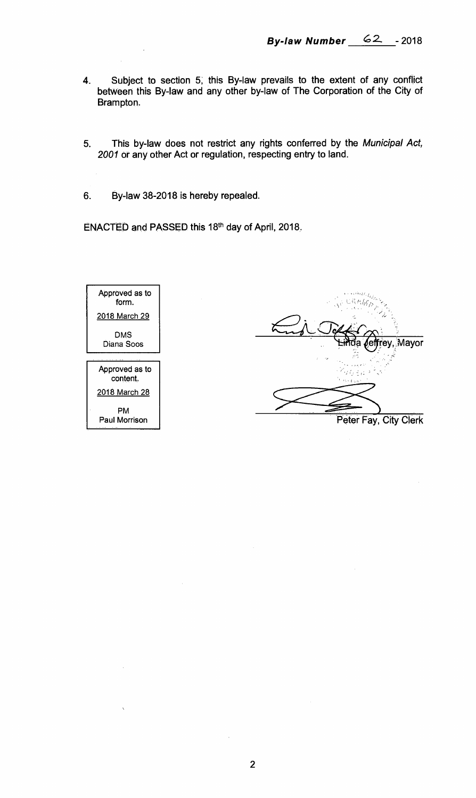- **4. Subject to section 5; this By-law prevails to the extent of any conflict between this By-law and any other by-law of The Corporation of the City of Brampton.**
- **5. This by-law does not restrict any rights conferred by the** Municipal Act, 2001 **or any other Act or regulation, respecting entry to land.**
- **6. By-law 38-2018 is hereby repealed.**

**ENACTED and PASSED this 18th day of April, 2018.** 



Mayor **Peter Fay, City Clerk**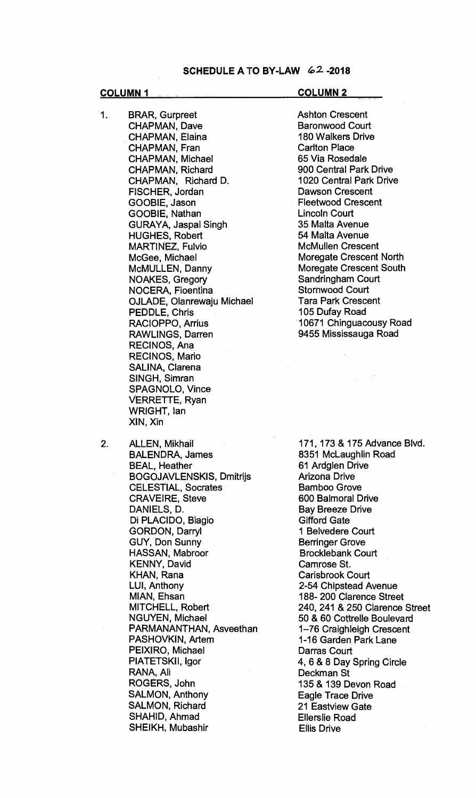- 1. BRAR, Gurpreet CHAPMAN, Dave CHAPMAN, Elaina CHAPMAN, Fran CHAPMAN, Michael CHAPMAN, Richard CHAPMAN, Richard D. FISCHER, Jordan GOOBIE, Jason GOOBIE, Nathan GURAYA, Jaspal Singh HUGHES, Robert MARTINEZ, Fulvio McGee, Michael McMULLEN, Danny NOAKES, Gregory NOCERA, Fioentina OJLADE, Olanrewaju Michael PEDDLE, Chris RACIOPPO, Arrius RAWLINGS, Darren RECINOS, Ana RECINOS, Mario SALINA, Clarena SINGH, Simran SPAGNOLO, Vince VERRETTE, Ryan WRIGHT, Ian XIN, Xin
- 2. ALLEN, Mikhail BALENDRA, James BEAL, Heather BOGOJAVLENSKIS, Dmitrijs CELESTIAL, Socrates CRAVEIRE, Steve DANIELS, D. Di PLACIDO, Biagio GORDON, Darryl GUY, Don Sunny HASSAN, Mabroor KENNY, David KHAN, Rana LUI, Anthony MIAN, Ehsan MITCHELL, Robert NGUYEN, Michael PARMANANTHAN, Asveethan PASHOVKIN, Artem PEIXIRO, Michael PIATETSKII, Igor RANA, Ali ROGERS, John SALMON, Anthony SALMON, Richard SHAHID, Ahmad SHEIKH, Mubashir

**COLUMN 1 COLUMN 2** 

Ashton Crescent Baronwood Court 180 Walkers Drive Carlton Place 65 Via Rosedale 900 Central Park Drive 1020 Central Park Drive Dawson Crescent Fleetwood Crescent Lincoln Court 35 Malta Avenue 54 Malta Avenue McMullen Crescent Moregate Crescent North Moregate Crescent South Sandringham Court Stornwood Court Tara Park Crescent 105 Dufay Road 10671 Chinguacousy Road 9455 Mississauga Road

171, 173 & 175 Advance Blvd. 8351 McLaughlin Road 61 Ardglen Drive Arizona Drive Bamboo Grove 600 Balmoral Drive Bay Breeze Drive Gifford Gate 1 Belvedere Court Berringer Grove Brocklebank Court Camrose St. Carisbrook Court 2-54 Chipstead Avenue 188- 200 Clarence Street 240, 241 & 250 Clarence Street 50 & 60 Cottrelle Boulevard 1-76 Craighleigh Crescent 1-16 Garden Park Lane Darras Court 4, 6 & 8 Day Spring Circle Deckman St 135 & 139 Devon Road Eagle Trace Drive 21 Eastview Gate Ellerslie Road Ellis Drive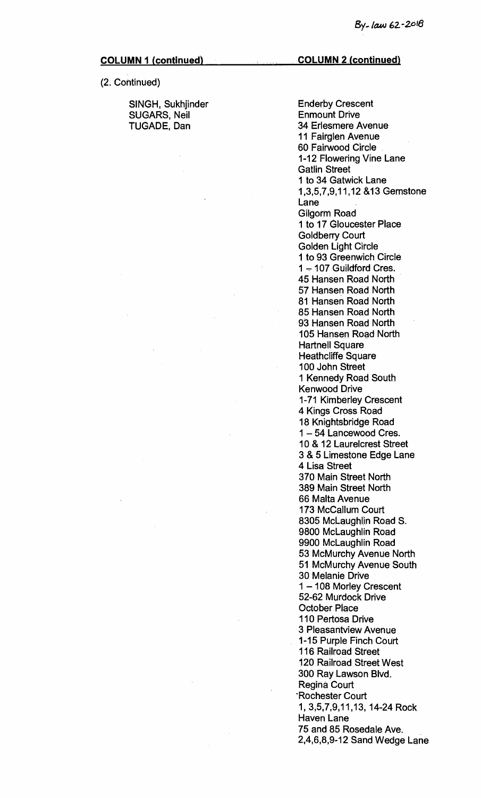(2. Continued)

SINGH, Sukhjinder SUGARS, Neil TUGADE, Dan

Enderby Crescent Enmount Drive 34 Erlesmere Avenue 11 Fairglen Avenue 60 Fairwood Circle 1-12 Flowering Vine Lane Gatlin Street 1 to 34 Gatwick Lane 1,3,5,7,9,11,12 &13 Gemstone Lane Gilgorm Road 1 to 17 Gloucester Place Goldberry Court Golden Light Circle 1 to 93 Greenwich Circle 1 — 107 Guildford Cres. 45 Hansen Road North 57 Hansen Road North 81 Hansen Road North 85 Hansen Road North 93 Hansen Road North 105 Hansen Road North Hartnell Square Heathcliffe Square 100 John Street 1 Kennedy Road South Kenwood Drive 1-71 Kimberley Crescent 4 Kings Cross Road 18 Knightsbridge Road 1 — 54 Lancewood Cres. 10 & 12 Laurelcrest Street 3 & 5 Limestone Edge Lane 4 Lisa Street 370 Main Street North 389 Main Street North 66 Malta Avenue 173 McCallum Court 8305 McLaughlin Road S. 9800 McLaughlin Road 9900 McLaughlin Road 53 McMurchy Avenue North 51 McMurchy Avenue South 30 Melanie Drive 1 — 108 Morley Crescent 52-62 Murdock Drive October. Place 110 Pertosa Drive 3 Pleasantview Avenue 1-15 Purple Finch Court 116 Railroad Street 120 Railroad Street. West 300 Ray Lawson Blvd. Regina Court 'Rochester Court 1, 3,5,7,9,11,13, 14-24 Rock Haven Lane 75 and 85 Rosedale Ave. 2,4,6,8,9-12 Sand Wedge Lane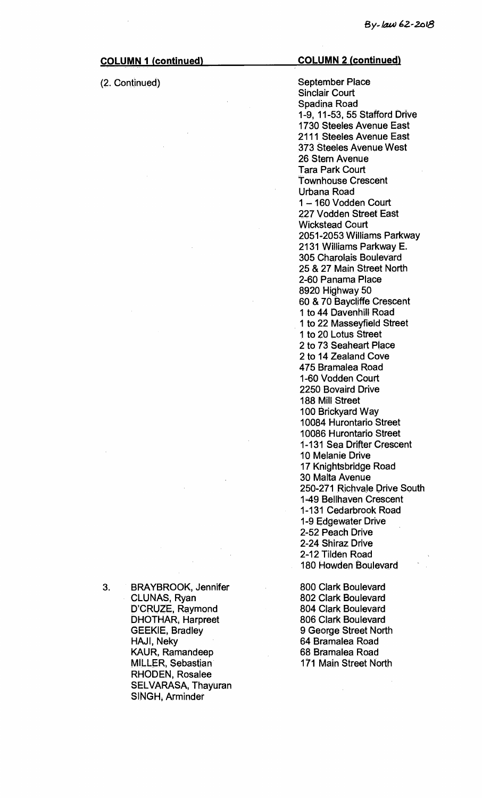### (2. Continued)

#### **COLUMN 2 (continued)**

September Place Sinclair Court Spadina Road 1-9, 11-53, 55 Stafford Drive 1730 Steeles Avenue East 2111 Steeles Avenue East 373 Steeles Avenue West 26 Stern Avenue Tara Park Court Townhouse Crescent Urbana Road 1 —160 Vodden Court 227 Vodden Street East Wickstead Court 2051-2053 Williams Parkway 2131 Williams Parkway E. 305 Charolais Boulevard 25 & 27 Main Street North 2-60 Panama Place 8920 Highway 50 60 & 70 Baycliffe Crescent 1 to 44 Davenhill Road 1 to 22 Masseyfield Street 1 to 20 Lotus Street 2 to 73 Seaheart Place 2 to 14 Zealand Cove 475 Bramalea Road 1-60 Vodden Court 2250 Bovaird Drive 188 Mill Street 100 Brickyard Way 10084 Hurontario Street 10086 Hurontario Street 1-131 Sea Drifter Crescent 10 Melanie Drive 17 Knightsbridge Road 30 Malta Avenue 250-271 Richvale Drive South 149 Bellhaven Crescent 1-131 Cedarbrook Road 1-9 Edgewater Drive 2-52 Peach Drive 2-24 Shiraz Drive 2-12 Tilden Road 180 Howden Boulevard

800 Clark Boulevard 802 Clark Boulevard 804 Clark Boulevard 806 Clark Boulevard 9 George Street North 64 Bramalea Road 68 Bramalea Road 171 Main Street North

3. BRAYBROOK, Jennifer CLUNAS, Ryan D'CRUZE, Raymond DHOTHAR, Harpreet GEEKIE, Bradley HAJI, Neky KAUR, Ramandeep MILLER, Sebastian RHODEN, Rosalee SELVARASA, Thayuran SINGH, Arminder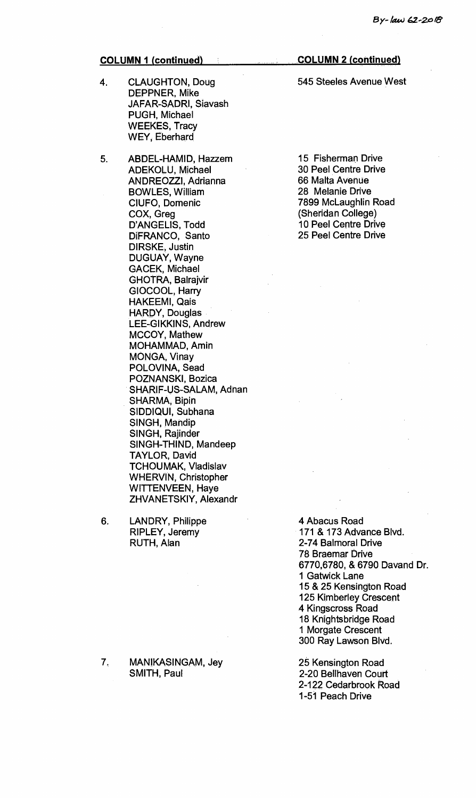- 4. CLAUGHTON, Doug DEPPNER, Mike JAFAR-SADRI, Siavash PUGH, Michael WEEKES, Tracy WEY, Eberhard
- 5. ABDEL-HAMID, Hazzem ADEKOLU, Michael ANDREOZZI, Adrianna BOWLES, William CIUFO, Domenic COX, Greg D'ANGELIS, Todd DiFRANCO, Santo DIRSKE, Justin DUGUAY, Wayne GACEK, Michael GHOTRA, Balrajvir GIOCOOL, Harry HAKEEMI, Qais HARDY, Douglas LEE-GIKKINS, Andrew MCCOY, Mathew MOHAMMAD, Amin MONGA, Vinay POLOVINA, Sead POZNANSKI, Bozica SHARIF-US-SALAM, Adnan SHARMA, Bipin SIDDIQUI, Subhana SINGH, Mandip SINGH, Rajinder SINGH-THIND, Mandeep TAYLOR, David TCHOUMAK, Vladislav WHERVIN, Christopher WITTENVEEN, Haye ZHVANETSKIY, Alexandr
- 6. LANDRY, Philippe RIPLEY, Jeremy RUTH, Alan

7. MANIKASINGAM, Jey SMITH, Paul

### **COLUMN 2 (continued)**

545 Steeles Avenue West

15 Fisherman Drive 30 Peel Centre Drive 66 Malta Avenue 28 Melanie Drive 7899 McLaughlin Road (Sheridan College) 10 Peel Centre Drive 25 Peel Centre Drive

4 Abacus Road 171 & 173 Advance Blvd. 2-74 Balmoral Drive 78 Braemar Drive 6770,6780, & 6790 Davand Dr. **1** Gatwick Lane 15 & 25 Kensington Road 125 Kimberley Crescent 4 Kingscross Road 18 Knightsbridge Road 1 Morgate Crescent 300 Ray Lawson Blvd.

25 Kensington Road 2-20 Bellhaven Court 2-122 Cedarbrook Road 1-51 Peach Drive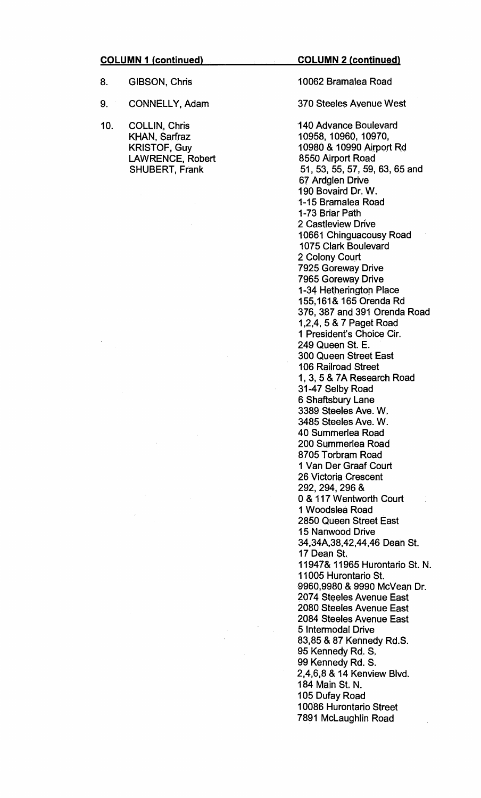**COLUMN 2\_(continued)** 

- 8. GIBSON, Chris
- 9. CONNELLY, Adam
- 10. COLLIN, Chris KHAN, Sarfraz KRISTOF, Guy LAWRENCE, Robert SHUBERT, Frank

 $\mathcal{L}$ 

10062 Bramalea Road

#### 370 Steeles Avenue West

140 Advance Boulevard 10958, 10960, 10970, 10980 & 10990 Airport Rd 8550 Airport Road 51, 53, 55, 57, 59, 63, 65 and 67 Ardglen Drive 190 Bovaird Dr. W. 1-15 Bramalea Road 1-73 Briar Path 2 Castleview Drive 10661 Chinguacousy Road 1075 Clark Boulevard 2 Colony Court 7925 Goreway Drive 7965 Goreway Drive 1-34 Hetherington Place 155,161& 165 Orenda Rd 376, 387 and 391 Orenda Road 1,2,4, 5 & 7 Paget Road 1 President's Choice Cir. 249 Queen St. E. 300 Queen Street East 106 Railroad Street 1, 3, 5 & 7A Research Road 31-47 Selby Road 6 Shaftsbury Lane 3389 Steeles Ave. W. 3485 Steeles Ave. W. 40 Summerlea Road 200 Summerlea Road 8705 Torbram Road 1 Van Der Graaf Court 26 Victoria Crescent 292, 294, 296 & 0 & 117 Wentworth Court 1 Woodslea Road 2850 Queen Street East 15 Nanwood Drive 34,34A,38,42,44,46 Dean St. 17 Dean St. 11947& 11965 Hurontario St. N. 11005 Hurontario St. 9960,9980 & 9990 McVean Dr. 2074 Steeles Avenue East 2080 Steeles Avenue East 2084 Steeles Avenue East 5 Intermodal Drive 83,85 & 87 Kennedy Rd.S. 95 Kennedy Rd. S. 99 Kennedy Rd. S. 2,4,6,8 & 14 Kenview Blvd. 184 Main St. N. 105 Dufay Road 10086 Hurontario Street 7891 McLaughlin Road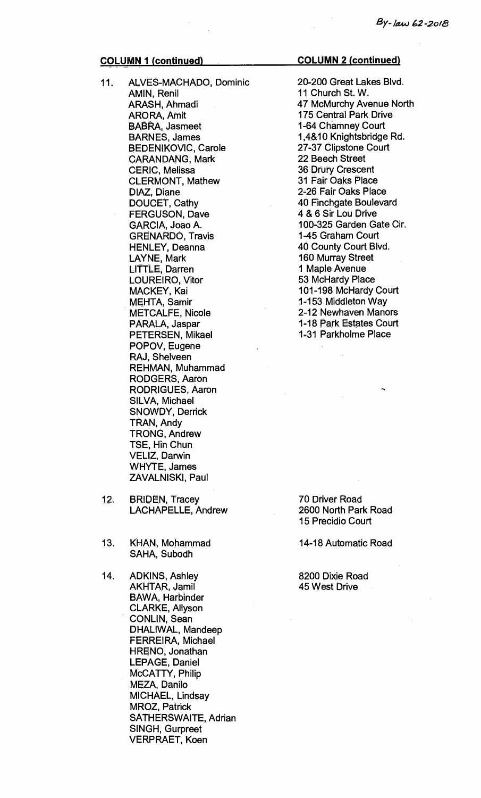- **11. ALVES-MACHADO, Dominic AMIN, Renil ARASH, Ahmadi ARORA, Amit BABRA, Jasmeet BARNES, James BEDENIKOVIC, Carole CARANDANG, Mark CERIC, Melissa CLERMONT, Mathew DIAZ, Diane DOUCET, Cathy FERGUSON, Dave GARCIA, Joao A. GRENARDO, Travis HENLEY, Deanna LAYNE, Mark LITTLE, Darren LOUREIRO, Vitor MACKEY, Kai MEHTA, Samir METCALFE, Nicole PARALA, Jaspar PETERSEN, Mikael POPOV, Eugene RAJ, Shelveen REHMAN, Muhammad RODGERS, Aaron RODRIGUES, Aaron SILVA, Michael SNOWDY, Derrick TRAN, Andy TRONG, Andrew TSE, Hin Chun VELIZ, Darwin WHYTE, James ZAVALNISKI, Paul**
- **12. BRIDEN, Tracey LACHAPELLE, Andrew**
- **13. KHAN, Mohammad SAHA, Subodh**
- **14. ADKINS, Ashley AKHTAR, Jamil BAWA, Harbinder CLARKE, Allyson CONLIN, Sean DHALIWAL, Mandeep FERREIRA, Michael HRENO, Jonathan LEPAGE, Daniel McCATTY, Philip MEZA, Danilo MICHAEL, Lindsay MROZ, Patrick SATHERSWAITE, Adrian SINGH, Gurpreet VERPRAET, Koen**

**20-200 Great Lakes Blvd. 11 Church St. W. 47 McMurchy Avenue North 175 Central Park Drive 1-64 Chamney Court 1,4&10 Knightsbridge Rd. 27-37 Clipstone Court 22 Beech Street 36 Drury Crescent 31 Fair Oaks Place 2-26 Fair Oaks Place 40 Finchgate Boulevard 4 & 6 Sir Lou Drive 100-325 Garden Gate Cir. 1-45 Graham Court 40 County Court**. **Blvd. 160 Murray Street 1 Maple Avenue 53 McHardy Place 101-198 McHardy Court 1-153 Middleton Way 2-12 Newhaven Manors 1-18 Park Estates Court 1.31 Parkholme Place** 

**70 Driver Road 2600 North Park Road 15 Precidio Court** 

**14-18 Automatic Road** 

**8200 Dixie Road 45 West Drive**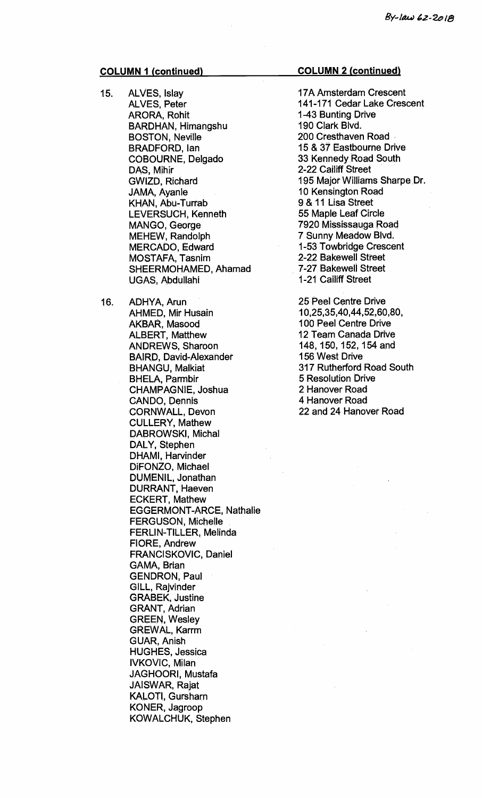- **15. ALVES, Islay ALVES, Peter ARORA, Rohit BARDHAN, Himangshu BOSTON, Neville BRADFORD, Ian COBOURNE, Delgado DAS, Mihir GWIZD, Richard JAMA, Ayanle KHAN, Abu-Turrab LEVERSUCH, Kenneth MANGO, George MEHEW, Randolph MERCADO, Edward MOSTAFA, Tasnim SHEERMOHAMED, Ahamad UGAS, Abdullahi**
- **16. ADHYA, Arun AHMED, Mir Husain AKBAR, Masood ALBERT, Matthew ANDREWS, Sharoon BAIRD, David-Alexander BHANGU, Malkiat BHELA, Parmbir CHAMPAGNIE, Joshua CANDO, Dennis CORNWALL, Devon CULLERY, Mathew DABROWSKI, Michal DALY, Stephen DHAMI, Harvinder DiFONZO, Michael DUMENIL, Jonathan DURRANT, Haeven ECKERT, Mathew EGGERMONT-ARCE, Nathalie FERGUSON, Michelle FERLIN-TILLER, Melinda FIORE, Andrew FRANCISKOVIC, Daniel GAMA, Brian GENDRON, Paul GILL, Rajvinder GRABEK, Justine GRANT, Adrian GREEN, Wesley GREWAL, Karrm GUAR, Anish HUGHES, Jessica IVKOVIC, Milan JAGHOORI, Mustafa JAISWAR, Rajat KALOTI, Gursharn KONER, Jagroop KOWALCHUK, Stephen**

#### **COLUMN 2 (continued)**

**17A Amsterdam Crescent 141-171 Cedar Lake Crescent 1-43 Bunting Drive 190 Clark Blvd. 200 Cresthaven Road 15 & 37 Eastbourne Drive 33 Kennedy Road South 2-22 Cailiff Street 195 Major Williams Sharpe Dr. 10 Kensington Road 9 & 11 Lisa Street 55 Maple Leaf Circle 7920 Mississauga Road 7 Sunny Meadow Blvd. 1-53 Towbridge Crescent 2-22 Bakewell Street 7-27 Bakewell Street 1-21 Cailiff Street** 

**25 Peel Centre Drive 10,25,35,40,44,52,60,80, 100 Peel Centre Drive 12 Team Canada Drive 148, 150, 152, 154 and 156 West Drive 317 Rutherford Road South 5 Resolution Drive 2 Hanover Road 4 Hanover Road 22 and 24 Hanover Road**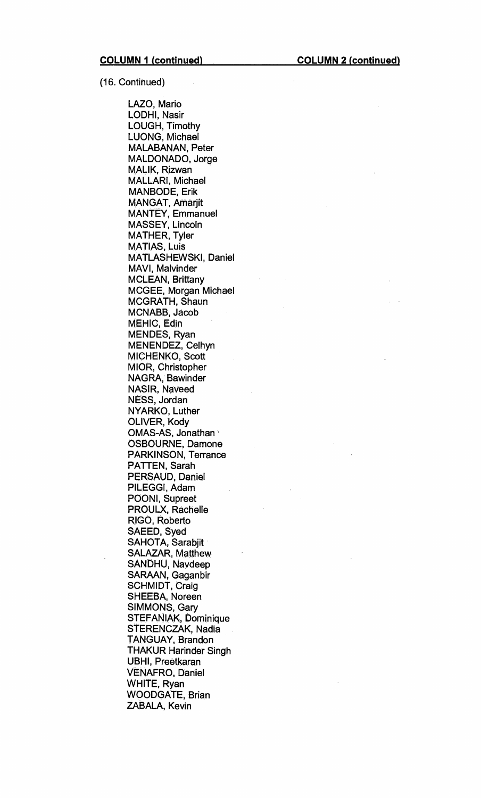(16. Continued)

LAZO, Mario LODHI, Nasir LOUGH, Timothy LUONG, Michael MALABANAN, Peter MALDONADO, Jorge MALIK, Rizwan MALLARI, Michael MANBODE, Erik MANGAT, Amarjit MANTEY, Emmanuel MASSEY, Lincoln MATHER, Tyler MATIAS, Luis MATLASHEWSKI, Daniel MAVI, Malvinder MCLEAN, Brittany MCGEE, Morgan Michael MCGRATH, Shaun MCNABB, Jacob MEHIC, Edin MENDES, Ryan MENENDEZ, Celhyn MICHENKO, Scott MIOR, Christopher NAGRA, Bawinder NASIR, Naveed NESS, Jordan NYARKO, Luther OLIVER, Kody OMAS-AS, Jonathan OSBOURNE, Damone PARKINSON, Terrance PATTEN, Sarah PERSAUD, Daniel PILEGGI, Adam POONI, Supreet PROULX, Rachelle RIGO, Roberto SAEED, Syed SAHOTA, Sarabjit SALAZAR, Matthew SANDHU, Navdeep SARAAN, Gaganbir SCHMIDT, Craig SHEEBA, Noreen SIMMONS, Gary STEFANIAK, Dominique STERENCZAK, Nadia TANGUAY, Brandon THAKUR Harinder Singh UBHI, Preetkaran VENAFRO, Daniel WHITE, Ryan WOODGATE, Brian ZABALA, Kevin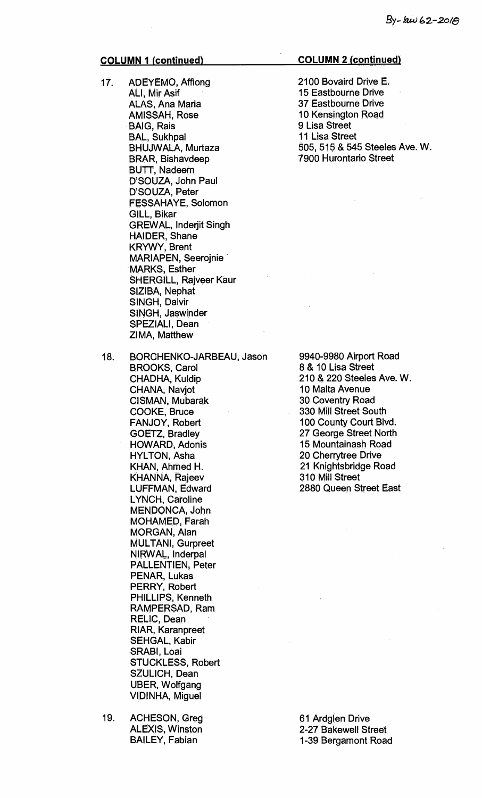- **17. ADEYEMO, Affiong ALI, Mir Asif ALAS, Ana Maria AMISSAH, Rose BAIG, Rais BAL, Sukhpal BHUJWALA, Murtaza BRAR, Bishavdeep BUTT, Nadeem D'SOUZA, John Paul D'SOUZA, Peter FESSAHAYE, Solomon GILL, Bikar GREWAL, Inderjit Singh HAIDER, Shane KRYWY, Brent MARIAPEN, Seerojnie MARKS, Esther SHERGILL, Rajveer Kaur SIZIBA, Nephat SINGH, Dalvir SINGH, Jaswinder SPEZIALI, Dean ZIMA, Matthew**
- **18. BORCHENKO-JARBEAU, Jason BROOKS, Carol CHADHA, Kuldip CHANA, Navjot CISMAN, Mubarak COOKE, Bruce FANJOY, Robert GOETZ, Bradley HOWARD, Adonis HYLTON, Asha KHAN, Ahmed H. KHANNA, Rajeev LUFFMAN, Edward LYNCH, Caroline MENDONCA, John MOHAMED, Farah MORGAN, Alan MULTANI, Gurpreet NIRWAL, lnderpal PALLENTIEN, Peter PENAR, Lukas PERRY, Robert PHILLIPS, Kenneth RAMPERSAD, Ram RELIC, Dean RIAR, Karanpreet SEHGAL, Kabir SRABI, Loai STUCKLESS, Robert SZULICH, Dean UBER, Wolfgang VIDINHA, Miguel**
- **19. ACHESON, Greg ALEXIS, Winston BAILEY, Fabian**

#### **COLUMN 2 (continued)**

**2100 Bovaird Drive E. 15 Eastbourne Drive 37 Eastbourne Drive 10 Kensington Road 9 Lisa Street 11 Lisa Street 505, 515 & 545 Steeles Ave. W. 7900 Hurontario Street** 

**9940-9980 Airport Road 8 & 10 Lisa Street 210 & 220 Steeles Ave. W. 10 Malta Avenue 30 Coventry Road 330 Mill Street South 100 County Court Blvd. 27 George Street North 15 Mountainash Road 20 Cherrytree Drive 21 Knightsbridge Road 310 Mill Street 2880 Queen Street East** 

**61 Ardglen Drive 2-27 Bakewell Street 1-39 Bergamont Road**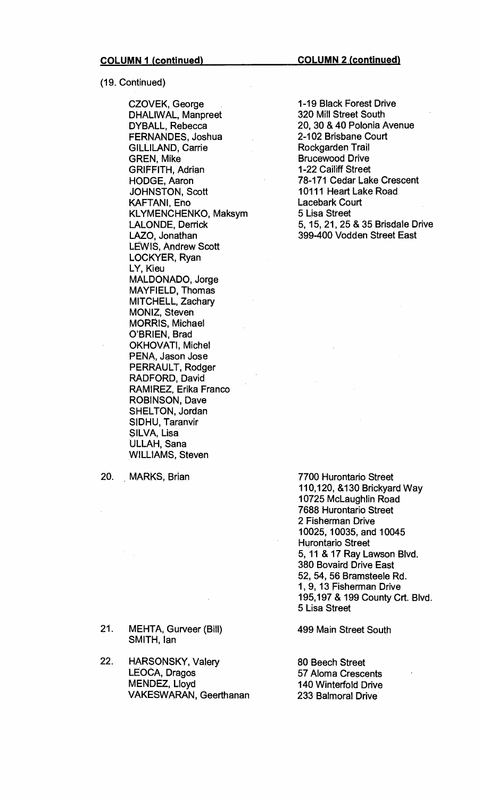(19. Continued)

CZOVEK, George DHALIWAL, Manpreet DYBALL, Rebecca FERNANDES, Joshua GILLILAND, Carrie GREN, Mike GRIFFITH, Adrian HODGE, Aaron JOHNSTON, Scott KAFTAN!, Eno KLYMENCHENKO, Maksym LALONDE, Derrick LAZO, Jonathan LEWIS, Andrew Scott LOCKYER, Ryan LY, Kieu MALDONADO, Jorge MAYFIELD, Thomas MITCHELL, Zachary MONIZ, Steven MORRIS, Michael O'BRIEN, Brad OKHOVATI, Michel PENA, Jason Jose PERRAULT, Rodger RADFORD, David RAMIREZ, Erika Franco ROBINSON, Dave SHELTON, Jordan SIDHU, Taranvir SILVA, Lisa ULLAH, Sana WILLIAMS, Steven

20. MARKS, Brian

21. MEHTA, Gurveer (Bill) SMITH, Ian

22. HARSONSKY, Valery LEOCA, Dragos MENDEZ, Lloyd VAKESVVARAN, Geerthanan

1-19 Black Forest Drive 320 Mill Street South 20, 30 & 40 Polonia Avenue 2-102 Brisbane Court Rockgarden Trail Brucewood Drive 1-22 Cailiff Street 78-171 Cedar Lake Crescent 10111 Heart Lake Road Lacebark Court 5 Lisa Street 5, 15, 21, 25 & 35 Brisdale Drive 399-400 Vodden Street East

7700 Hurontario Street 110,120, &130 Brickyard Way 10725 McLaughlin Road 7688 Hurontario Street 2 Fisherman Drive 10025, 10035, and 10045 Hurontario Street 5, 11 & 17 Ray Lawson Blvd. 380 Bovaird Drive East 52, 54, 56 Bramsteele Rd. 1, 9, 13 Fisherman Drive 195,197 & 199 County Crt. Blvd. 5 Lisa Street

499 Main Street South

80 Beech Street 57 Aloma Crescents 140 Winterfold Drive 233 Balmoral Drive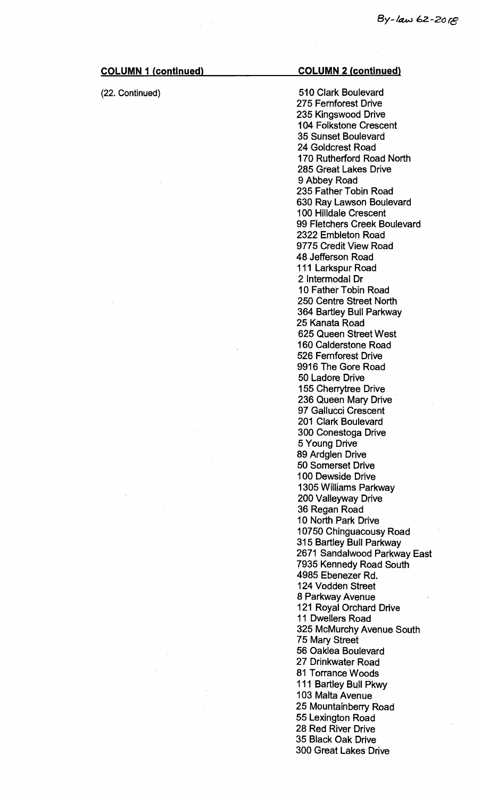$\hat{\mathcal{L}}$ 

 $\hat{\mathcal{A}}$ 

 $\mathcal{A}^{\mathcal{A}}$ 

| <b>COLUMN 1 (continued)</b> | <b>COLUMN 2 (continued)</b>          |
|-----------------------------|--------------------------------------|
| (22. Continued)             | 510 Clark Boulevard                  |
|                             | 275 Fernforest Drive                 |
|                             | 235 Kingswood Drive                  |
|                             | <b>104 Folkstone Crescent</b>        |
|                             | 35 Sunset Boulevard                  |
|                             | 24 Goldcrest Road                    |
|                             | 170 Rutherford Road North            |
|                             | 285 Great Lakes Drive                |
|                             | 9 Abbey Road                         |
|                             | 235 Father Tobin Road                |
|                             | 630 Ray Lawson Boulevard             |
|                             | <b>100 Hilldale Crescent</b>         |
|                             | 99 Fletchers Creek Boulevard         |
|                             | 2322 Embleton Road                   |
|                             | 9775 Credit View Road                |
|                             | 48 Jefferson Road                    |
|                             | 111 Larkspur Road                    |
|                             | 2 Intermodal Dr                      |
|                             | 10 Father Tobin Road                 |
|                             | 250 Centre Street North              |
|                             | 364 Bartley Bull Parkway             |
|                             | 25 Kanata Road                       |
|                             | 625 Queen Street West                |
|                             | 160 Calderstone Road                 |
|                             | 526 Fernforest Drive                 |
|                             | 9916 The Gore Road                   |
|                             | 50 Ladore Drive                      |
|                             | 155 Cherrytree Drive                 |
|                             | 236 Queen Mary Drive                 |
|                             | 97 Gallucci Crescent                 |
|                             | 201 Clark Boulevard                  |
|                             | 300 Conestoga Drive<br>5 Young Drive |
|                             | 89 Ardglen Drive                     |
|                             | 50 Somerset Drive                    |
|                             | 100 Dewside Drive                    |
|                             | 1305 Williams Parkway                |
|                             | 200 Valleyway Drive                  |
|                             | 36 Regan Road                        |
|                             | 10 North Park Drive                  |
|                             | 10750 Chinguacousy Road              |
|                             | 315 Bartley Bull Parkway             |
|                             | 2671 Sandalwood Parkway East         |
|                             | 7935 Kennedy Road South              |
|                             | 4985 Ebenezer Rd.                    |
|                             | 124 Vodden Street                    |
|                             | 8 Parkway Avenue                     |
|                             | 121 Royal Orchard Drive              |
|                             | 11 Dwellers Road                     |
|                             | 325 McMurchy Avenue South            |
|                             | 75 Mary Street                       |
|                             | 56 Oaklea Boulevard                  |
|                             | 27 Drinkwater Road                   |
|                             | 81 Torrance Woods                    |
|                             | 111 Bartley Bull Pkwy                |
|                             | 103 Malta Avenue                     |
|                             | 25 Mountainberry Road                |
|                             | 55 Lexington Road                    |
|                             | 28 Red River Drive                   |
|                             | 35 Black Oak Drive                   |
|                             | <b>300 Great Lakes Drive</b>         |

 $\frac{1}{2} \frac{1}{2} \frac{1}{2} \frac{1}{2}$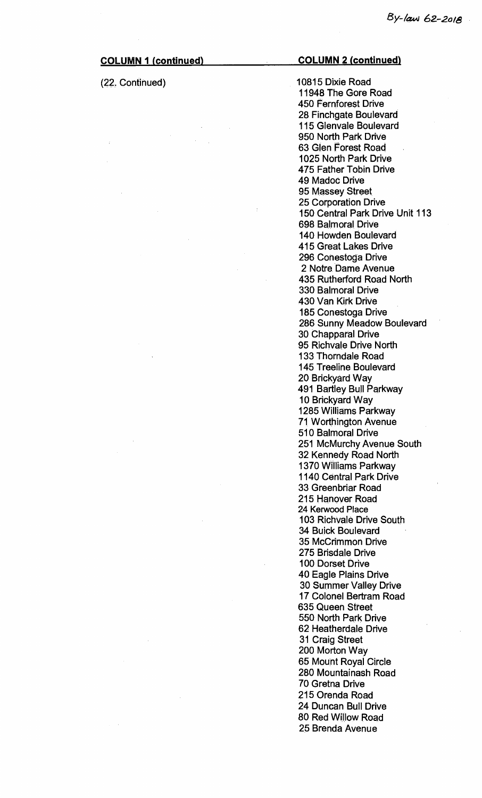(22. Continued) 10815 Dixie Road 11948 The Gore Road 450 Fernforest Drive 28 Finchgate Boulevard 115 Glenvale Boulevard 950 North Park Drive 63 Glen Forest Road 1025 North Park Drive 475 Father Tobin Drive 49 Madoc Drive 95 Massey Street 25 Corporation Drive 150 Central Park Drive Unit 113 698 Balmoral Drive 140 Howden Boulevard 415 Great Lakes Drive 296 Conestoga Drive 2 Notre. Dame Avenue 435 Rutherford Road North 330 Balmoral Drive 430 Van Kirk Drive 185 Conestoga Drive 286 Sunny Meadow Boulevard 30 Chapparal Drive 95 Richvale Drive North 133 Thorndale Road 145 Treeline Boulevard 20 Brickyard Way 491 Bartley Bull Parkway 10 Brickyard Way 1285 Williams Parkway 71 Worthington Avenue 510 Balmoral Drive 251 McMurchy Avenue South 32 Kennedy Road North 1370 Williams Parkway 1140 Central Park Drive 33 Greenbriar Road 215 Hanover Road 24 Kerwood Place 103 Richvale Drive South 34 Buick Boulevard 35 McCrimmon Drive 275 Brisdale Drive 100 Dorset Drive 40 Eagle Plains Drive 30 Summer Valley Drive 17 Colonel Bertram Road 635 Queen Street 550 North Park Drive 62 Heatherdale Drive 31 Craig Street 200 Morton Way 65 Mount Royal Circle 280 Mountainash Road 70 Gretna Drive 215 Orenda Road 24 Duncan Bull Drive 80 Red Willow Road 25 Brenda Avenue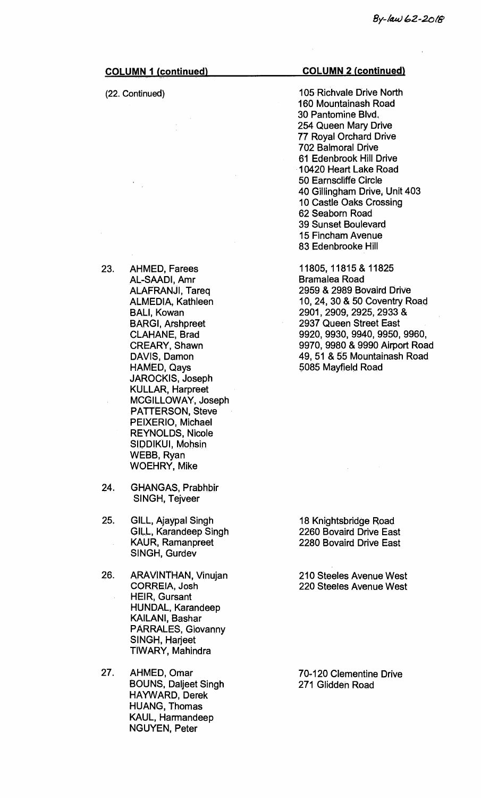| <b>COLUMN 1 (continued)</b> |                                                                                                                                                                                                                                                                                                                                                                                                                                                     | <b>COLUMN 2 (continued)</b>                                                                                                                                                                                                                                                                                                                                                                |  |
|-----------------------------|-----------------------------------------------------------------------------------------------------------------------------------------------------------------------------------------------------------------------------------------------------------------------------------------------------------------------------------------------------------------------------------------------------------------------------------------------------|--------------------------------------------------------------------------------------------------------------------------------------------------------------------------------------------------------------------------------------------------------------------------------------------------------------------------------------------------------------------------------------------|--|
|                             | (22. Continued)                                                                                                                                                                                                                                                                                                                                                                                                                                     | 105 Richvale Drive North<br>160 Mountainash Road<br>30 Pantomine Blvd.<br>254 Queen Mary Drive<br>77 Royal Orchard Drive<br><b>702 Balmoral Drive</b><br>61 Edenbrook Hill Drive<br>10420 Heart Lake Road<br>50 Earnscliffe Circle<br>40 Gillingham Drive, Unit 403<br>10 Castle Oaks Crossing<br>62 Seaborn Road<br>39 Sunset Boulevard<br><b>15 Fincham Avenue</b><br>83 Edenbrooke Hill |  |
| 23.                         | <b>AHMED, Farees</b><br>AL-SAADI, Amr<br><b>ALAFRANJI, Tareq</b><br><b>ALMEDIA, Kathleen</b><br><b>BALI, Kowan</b><br><b>BARGI, Arshpreet</b><br><b>CLAHANE, Brad</b><br><b>CREARY, Shawn</b><br>DAVIS, Damon<br><b>HAMED, Qays</b><br><b>JAROCKIS, Joseph</b><br><b>KULLAR, Harpreet</b><br>MCGILLOWAY, Joseph<br><b>PATTERSON, Steve</b><br>PEIXERIO, Michael<br><b>REYNOLDS, Nicole</b><br>SIDDIKUI, Mohsin<br>WEBB, Ryan<br><b>WOEHRY, Mike</b> | 11805, 11815 & 11825<br><b>Bramalea Road</b><br>2959 & 2989 Bovaird Drive<br>10, 24, 30 & 50 Coventry Road<br>2901, 2909, 2925, 2933 &<br>2937 Queen Street East<br>9920, 9930, 9940, 9950, 9960,<br>9970, 9980 & 9990 Airport Road<br>49, 51 & 55 Mountainash Road<br>5085 Mayfield Road                                                                                                  |  |
| 24.                         | <b>GHANGAS, Prabhbir</b><br>SINGH, Tejveer                                                                                                                                                                                                                                                                                                                                                                                                          |                                                                                                                                                                                                                                                                                                                                                                                            |  |
| 25.                         | GILL, Ajaypal Singh<br>GILL, Karandeep Singh<br><b>KAUR, Ramanpreet</b><br>SINGH, Gurdev                                                                                                                                                                                                                                                                                                                                                            | 18 Knightsbridge Road<br>2260 Bovaird Drive East<br>2280 Bovaird Drive East                                                                                                                                                                                                                                                                                                                |  |
| 26.                         | <b>ARAVINTHAN, Vinujan</b><br><b>CORREIA, Josh</b><br><b>HEIR, Gursant</b><br><b>HUNDAL, Karandeep</b><br>KAILANI, Bashar<br>PARRALES, Giovanny<br>SINGH, Harjeet<br>TIWARY, Mahindra                                                                                                                                                                                                                                                               | 210 Steeles Avenue West<br>220 Steeles Avenue West                                                                                                                                                                                                                                                                                                                                         |  |
| 27.                         | AHMED, Omar<br><b>BOUNS, Daljeet Singh</b><br>HAYWARD, Derek<br><b>HUANG, Thomas</b><br>KAUL, Harmandeep<br><b>NGUYEN, Peter</b>                                                                                                                                                                                                                                                                                                                    | 70-120 Clementine Drive<br>271 Glidden Road                                                                                                                                                                                                                                                                                                                                                |  |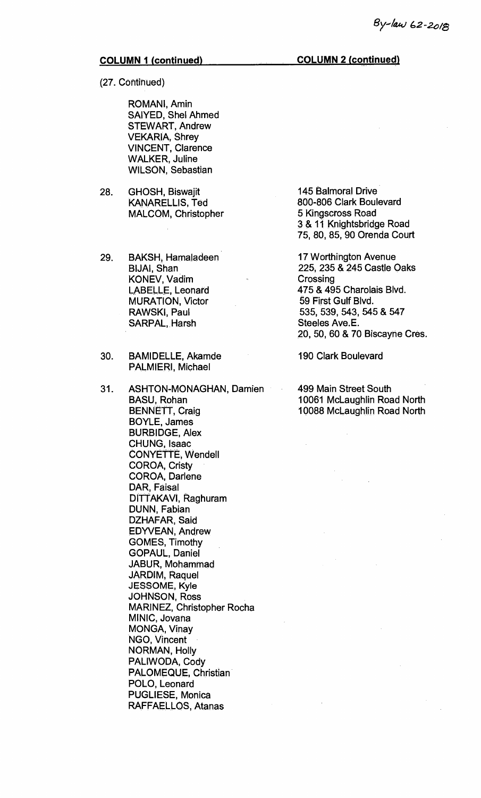**(27. Continued)** 

**ROMANI, Amin SAIYED, Shel Ahmed STEWART, Andrew VEKARIA, Shrey VINCENT, Clarence WALKER, Juline WILSON, Sebastian** 

**28. GHOSH, Biswajit KANARELLIS, Ted MALCOM, Christopher** 

**29. BAKSH, Hamaladeen BIJAI, Shan KONEV, Vadim LABELLE, Leonard MURATION, Victor RAWSKI, Paul SARPAL, Harsh** 

- **30. BAMIDELLE, Akamde PALMIERI, Michael**
- **31. ASHTON-MONAGHAN, Damien BASU, Rohan BENNETT, Craig BOYLE, James BURBIDGE, Alex CHUNG, Isaac CONYETTE, Wendell COROA, Cristy COROA, Darlene DAR, Faisal DITTAKAVI, Raghuram DUNN, Fabian DZHAFAR, Said EDYVEAN, Andrew GOMES, Timothy GOPAUL, Daniel JABUR, Mohammad JARDIM, Raquel JESSOME, Kyle JOHNSON, Ross MARINEZ, Christopher Rocha MINIC, Jovana MONGA, Vinay NGO, Vincent NORMAN, Holly PALIWODA, Cody PALOMEQUE, Christian POLO, Leonard PUGLIESE, Monica RAFFAELLOS, Atanas**

**145 Balmoral Drive 800-806 Clark Boulevard 5 Kingscross Road 3 & 11 Knightsbridge Road 75, 80, 85, 90 Orenda Court** 

**17 Worthington Avenue 225, 235 & 245 Castle Oaks Crossing 475 & 495 Charolais Blvd. 59 First Gulf Blvd. 535, 539, 543, 545 & 547 Steeles Ave.E. 20, 50, 60 & 70 Biscayne Cres.** 

**190 Clark Boulevard** 

**499 Main Street South 10061 McLaughlin Road North 10088 McLaughlin Road North**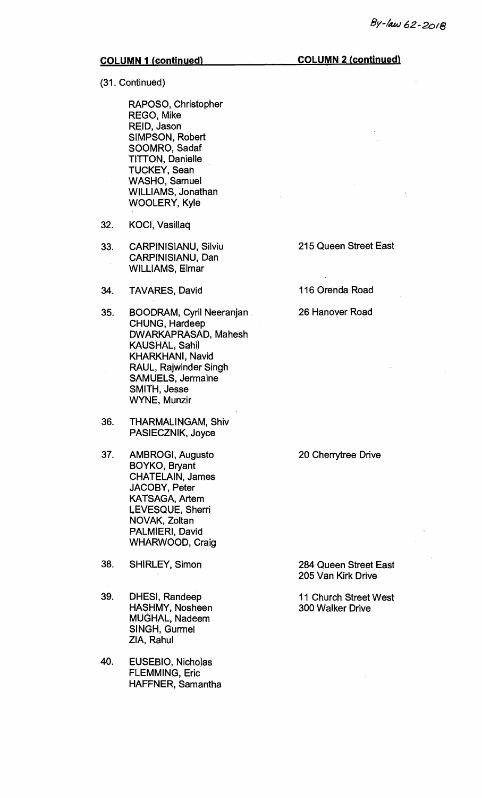(31. Continued)

RAPOSO, Christopher REGO, Mike REID, Jason SIMPSON, Robert SOOMRO, Sadaf TITTON, Danielle TUCKEY, Sean WASHO, Samuel WILLIAMS, Jonathan WOOLERY, Kyle

- 32. KOCI, Vasillaq
- 33. CARPINISIANU, Silviu 215 Queen Street East CARPINISIANU, Dan WILLIAMS, Elmar
- 34. TAVARES, David 116 Orenda Road
- 35. BOODRAM, Cyril Neeranjan 26 Hanover Road CHUNG, Hardeep DWARKAPRASAD, Mahesh KAUSHAL, Sahil KHARKHANI, Navid RAUL, Rajwinder Singh SAMUELS, Jermaine SMITH, Jesse WYNE, Munzir
- 36. THARMALINGAM, Shiv PASIECZNIK, Joyce
- 37. AMBROGI, Augusto 20 Cherrytree Drive BOYKO, Bryant CHATELAIN, James JACOBY, Peter KATSAGA, Artem LEVESQUE, Sherri NOVAK, Zoltan PALMIERI, David WHARWOOD, Craig
- 38. SHIRLEY, Simon 284 Queen Street East
- 39. DHESI, Randeep 11 Church Street West<br>HASHMY, Nosheen 300 Walker Drive HASHMY, Nosheen MUGHAL, Nadeem SINGH, Gurmel ZIA, Rahul
- 40. EUSEBIO, Nicholas FLEMMING, Eric HAFFNER, Samantha

205 Van Kirk Drive